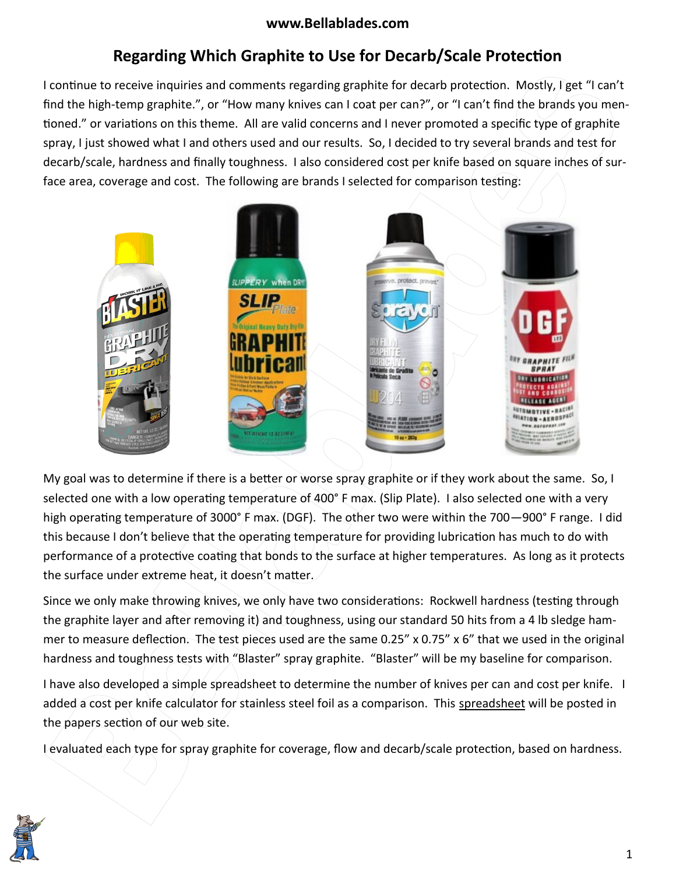# **www.Bellablades.com**

# **Regarding Which Graphite to Use for Decarb/Scale Protection**

I continue to receive inquiries and comments regarding graphite for decarb protection. Mostly, I get "I can't find the high-temp graphite.", or "How many knives can I coat per can?", or "I can't find the brands you mentioned." or variations on this theme. All are valid concerns and I never promoted a specific type of graphite spray, I just showed what I and others used and our results. So, I decided to try several brands and test for decarb/scale, hardness and finally toughness. I also considered cost per knife based on square inches of surface area, coverage and cost. The following are brands I selected for comparison testing:



My goal was to determine if there is a better or worse spray graphite or if they work about the same. So, I selected one with a low operating temperature of 400° F max. (Slip Plate). I also selected one with a very high operating temperature of 3000° F max. (DGF). The other two were within the 700–900° F range. I did this because I don't believe that the operating temperature for providing lubrication has much to do with performance of a protective coating that bonds to the surface at higher temperatures. As long as it protects the surface under extreme heat, it doesn't matter.  $\angle$ 

Since we only make throwing knives, we only have two considerations: Rockwell hardness (testing through the graphite layer and after removing it) and toughness, using our standard 50 hits from a 4 lb sledge hammer to measure deflection. The test pieces used are the same 0.25" x 0.75" x 6" that we used in the original hardness and toughness tests with "Blaster" spray graphite. "Blaster" will be my baseline for comparison.

I have also developed a simple spreadsheet to determine the number of knives per can and cost per knife. I added a cost per knife calculator for stainless steel foil as a comparison. This spreadsheet will be posted in the papers section of our web site.

I evaluated each type for spray graphite for coverage, flow and decarb/scale protection, based on hardness.